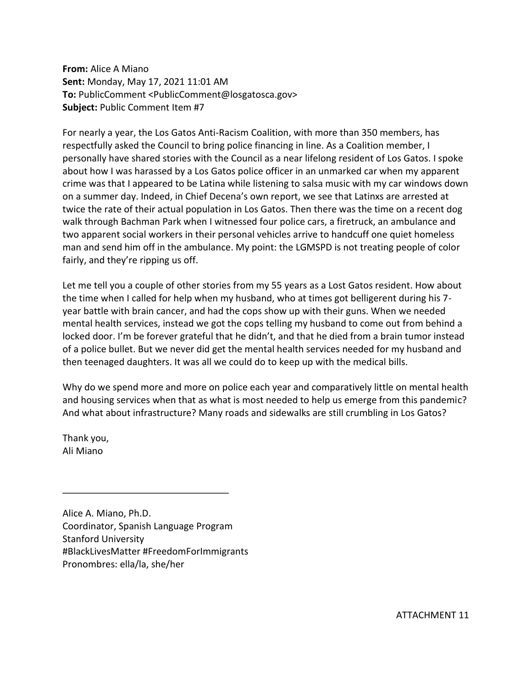**From:** Alice A Miano **Sent:** Monday, May 17, 2021 11:01 AM **To:** PublicComment <PublicComment@losgatosca.gov> **Subject:** Public Comment Item #7

For nearly a year, the Los Gatos Anti-Racism Coalition, with more than 350 members, has respectfully asked the Council to bring police financing in line. As a Coalition member, I personally have shared stories with the Council as a near lifelong resident of Los Gatos. I spoke about how I was harassed by a Los Gatos police officer in an unmarked car when my apparent crime was that I appeared to be Latina while listening to salsa music with my car windows down on a summer day. Indeed, in Chief Decena's own report, we see that Latinxs are arrested at twice the rate of their actual population in Los Gatos. Then there was the time on a recent dog walk through Bachman Park when I witnessed four police cars, a firetruck, an ambulance and two apparent social workers in their personal vehicles arrive to handcuff one quiet homeless man and send him off in the ambulance. My point: the LGMSPD is not treating people of color fairly, and they're ripping us off.

Let me tell you a couple of other stories from my 55 years as a Lost Gatos resident. How about the time when I called for help when my husband, who at times got belligerent during his 7 year battle with brain cancer, and had the cops show up with their guns. When we needed mental health services, instead we got the cops telling my husband to come out from behind a locked door. I'm be forever grateful that he didn't, and that he died from a brain tumor instead of a police bullet. But we never did get the mental health services needed for my husband and then teenaged daughters. It was all we could do to keep up with the medical bills.

Why do we spend more and more on police each year and comparatively little on mental health and housing services when that as what is most needed to help us emerge from this pandemic? And what about infrastructure? Many roads and sidewalks are still crumbling in Los Gatos?

Thank you, Ali Miano

Alice A. Miano, Ph.D. Coordinator, Spanish Language Program Stanford University #BlackLivesMatter #FreedomForImmigrants Pronombres: ella/la, she/her

 $\overline{\phantom{a}}$  , which is a set of the set of the set of the set of the set of the set of the set of the set of the set of the set of the set of the set of the set of the set of the set of the set of the set of the set of th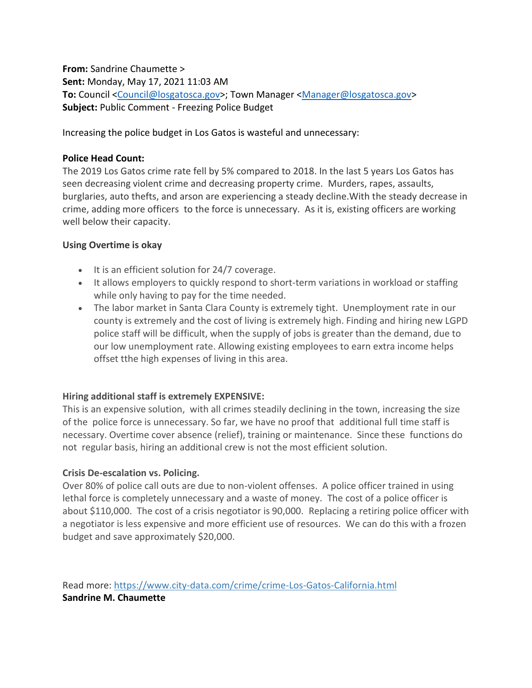**From:** Sandrine Chaumette > **Sent:** Monday, May 17, 2021 11:03 AM **To:** Council [<Council@losgatosca.gov>](mailto:Council@losgatosca.gov); Town Manager [<Manager@losgatosca.gov>](mailto:Manager@losgatosca.gov) **Subject:** Public Comment - Freezing Police Budget

Increasing the police budget in Los Gatos is wasteful and unnecessary:

#### **Police Head Count:**

The 2019 Los Gatos crime rate fell by 5% compared to 2018. In the last 5 years Los Gatos has seen decreasing violent crime and decreasing property crime. Murders, rapes, assaults, burglaries, auto thefts, and arson are experiencing a steady decline.With the steady decrease in crime, adding more officers to the force is unnecessary. As it is, existing officers are working well below their capacity.

#### **Using Overtime is okay**

- It is an efficient solution for 24/7 coverage.
- It allows employers to quickly respond to short-term variations in workload or staffing while only having to pay for the time needed.
- The labor market in Santa Clara County is extremely tight. Unemployment rate in our county is extremely and the cost of living is extremely high. Finding and hiring new LGPD police staff will be difficult, when the supply of jobs is greater than the demand, due to our low unemployment rate. Allowing existing employees to earn extra income helps offset tthe high expenses of living in this area.

## **Hiring additional staff is extremely EXPENSIVE:**

This is an expensive solution, with all crimes steadily declining in the town, increasing the size of the police force is unnecessary. So far, we have no proof that additional full time staff is necessary. Overtime cover absence (relief), training or maintenance. Since these functions do not regular basis, hiring an additional crew is not the most efficient solution.

## **Crisis De-escalation vs. Policing.**

Over 80% of police call outs are due to non-violent offenses. A police officer trained in using lethal force is completely unnecessary and a waste of money. The cost of a police officer is about \$110,000. The cost of a crisis negotiator is 90,000. Replacing a retiring police officer with a negotiator is less expensive and more efficient use of resources. We can do this with a frozen budget and save approximately \$20,000.

Read more: [https://www.city-data.com/crime/crime-Los-Gatos-California.html](https://gcc02.safelinks.protection.outlook.com/?url=https%3A%2F%2Fwww.city-data.com%2Fcrime%2Fcrime-Los-Gatos-California.html&data=04%7C01%7CManager%40losgatosca.gov%7C413a1bb489cd40dd16e108d9195e0028%7C6d38cb6747eb4d139e7c523cd7ccecd5%7C1%7C0%7C637568714723701437%7CUnknown%7CTWFpbGZsb3d8eyJWIjoiMC4wLjAwMDAiLCJQIjoiV2luMzIiLCJBTiI6Ik1haWwiLCJXVCI6Mn0%3D%7C2000&sdata=82f79nv%2Bkn9rTCJtEF65p97RGGgjaIRYH9AdvsUtlA4%3D&reserved=0) **Sandrine M. Chaumette**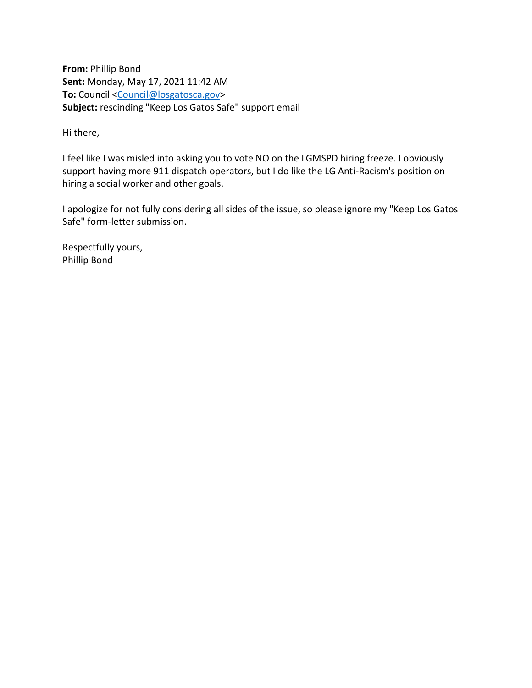**From:** Phillip Bond **Sent:** Monday, May 17, 2021 11:42 AM To: Council [<Council@losgatosca.gov>](mailto:Council@losgatosca.gov) **Subject:** rescinding "Keep Los Gatos Safe" support email

Hi there,

I feel like I was misled into asking you to vote NO on the LGMSPD hiring freeze. I obviously support having more 911 dispatch operators, but I do like the LG Anti-Racism's position on hiring a social worker and other goals.

I apologize for not fully considering all sides of the issue, so please ignore my "Keep Los Gatos Safe" form-letter submission.

Respectfully yours, Phillip Bond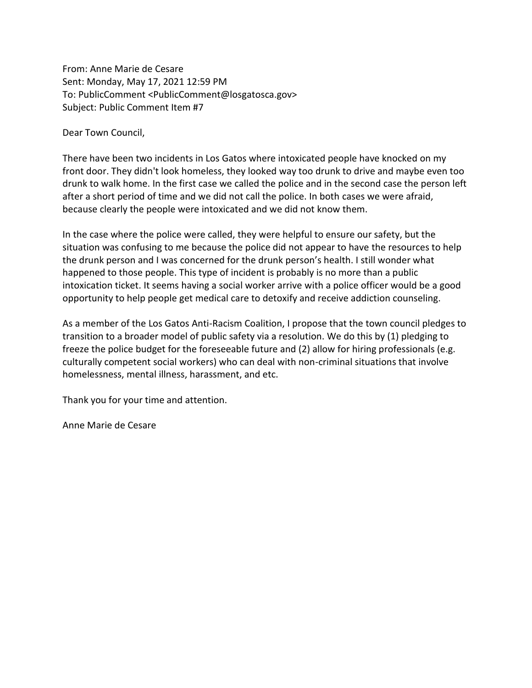From: Anne Marie de Cesare Sent: Monday, May 17, 2021 12:59 PM To: PublicComment <PublicComment@losgatosca.gov> Subject: Public Comment Item #7

Dear Town Council,

There have been two incidents in Los Gatos where intoxicated people have knocked on my front door. They didn't look homeless, they looked way too drunk to drive and maybe even too drunk to walk home. In the first case we called the police and in the second case the person left after a short period of time and we did not call the police. In both cases we were afraid, because clearly the people were intoxicated and we did not know them.

In the case where the police were called, they were helpful to ensure our safety, but the situation was confusing to me because the police did not appear to have the resources to help the drunk person and I was concerned for the drunk person's health. I still wonder what happened to those people. This type of incident is probably is no more than a public intoxication ticket. It seems having a social worker arrive with a police officer would be a good opportunity to help people get medical care to detoxify and receive addiction counseling.

As a member of the Los Gatos Anti-Racism Coalition, I propose that the town council pledges to transition to a broader model of public safety via a resolution. We do this by (1) pledging to freeze the police budget for the foreseeable future and (2) allow for hiring professionals (e.g. culturally competent social workers) who can deal with non-criminal situations that involve homelessness, mental illness, harassment, and etc.

Thank you for your time and attention.

Anne Marie de Cesare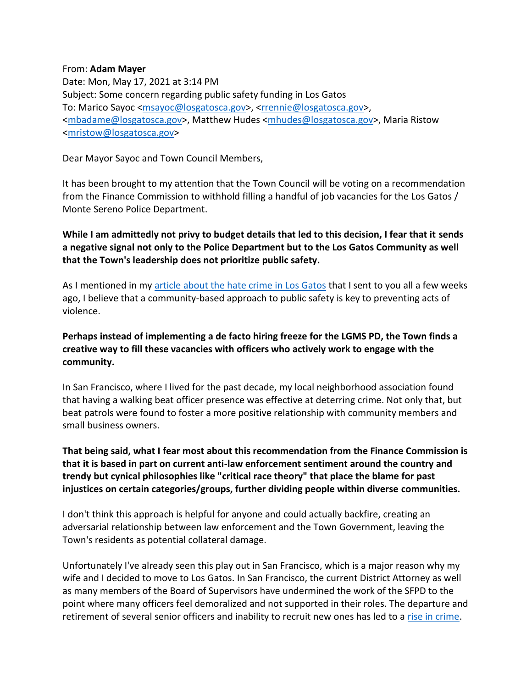#### From: **Adam Mayer**

Date: Mon, May 17, 2021 at 3:14 PM Subject: Some concern regarding public safety funding in Los Gatos To: Marico Sayoc [<msayoc@losgatosca.gov>](mailto:msayoc@losgatosca.gov), [<rrennie@losgatosca.gov>](mailto:rrennie@losgatosca.gov), [<mbadame@losgatosca.gov>](mailto:mbadame@losgatosca.gov), Matthew Hudes [<mhudes@losgatosca.gov>](mailto:mhudes@losgatosca.gov), Maria Ristow [<mristow@losgatosca.gov>](mailto:mristow@losgatosca.gov)

Dear Mayor Sayoc and Town Council Members,

It has been brought to my attention that the Town Council will be voting on a recommendation from the Finance Commission to withhold filling a handful of job vacancies for the Los Gatos / Monte Sereno Police Department.

**While I am admittedly not privy to budget details that led to this decision, I fear that it sends a negative signal not only to the Police Department but to the Los Gatos Community as well that the Town's leadership does not prioritize public safety.**

As I mentioned in my [article about the hate crime in Los Gatos](https://gcc02.safelinks.protection.outlook.com/?url=https%3A%2F%2Fadammayer.substack.com%2Fp%2Fanti-asian-hate-in-my-hometown&data=04%7C01%7CLPrevetti%40losgatosca.gov%7C0dc0f8a8042b466867fc08d919828385%7C6d38cb6747eb4d139e7c523cd7ccecd5%7C1%7C0%7C637568870614107931%7CUnknown%7CTWFpbGZsb3d8eyJWIjoiMC4wLjAwMDAiLCJQIjoiV2luMzIiLCJBTiI6Ik1haWwiLCJXVCI6Mn0%3D%7C1000&sdata=y%2FZEH5lnYWqdi6oudrl7x0Uu782zPlmk7F2Av7wMIZc%3D&reserved=0) that I sent to you all a few weeks ago, I believe that a community-based approach to public safety is key to preventing acts of violence.

# **Perhaps instead of implementing a de facto hiring freeze for the LGMS PD, the Town finds a creative way to fill these vacancies with officers who actively work to engage with the community.**

In San Francisco, where I lived for the past decade, my local neighborhood association found that having a walking beat officer presence was effective at deterring crime. Not only that, but beat patrols were found to foster a more positive relationship with community members and small business owners.

**That being said, what I fear most about this recommendation from the Finance Commission is that it is based in part on current anti-law enforcement sentiment around the country and trendy but cynical philosophies like "critical race theory" that place the blame for past injustices on certain categories/groups, further dividing people within diverse communities.**

I don't think this approach is helpful for anyone and could actually backfire, creating an adversarial relationship between law enforcement and the Town Government, leaving the Town's residents as potential collateral damage.

Unfortunately I've already seen this play out in San Francisco, which is a major reason why my wife and I decided to move to Los Gatos. In San Francisco, the current District Attorney as well as many members of the Board of Supervisors have undermined the work of the SFPD to the point where many officers feel demoralized and not supported in their roles. The departure and retirement of several senior officers and inability to recruit new ones has led to a [rise in crime.](https://gcc02.safelinks.protection.outlook.com/?url=https%3A%2F%2Fabc7news.com%2Fsf-tourist-crime-san-francisco-tourists-tourism%2F10571979%2F&data=04%7C01%7CLPrevetti%40losgatosca.gov%7C0dc0f8a8042b466867fc08d919828385%7C6d38cb6747eb4d139e7c523cd7ccecd5%7C1%7C0%7C637568870614117887%7CUnknown%7CTWFpbGZsb3d8eyJWIjoiMC4wLjAwMDAiLCJQIjoiV2luMzIiLCJBTiI6Ik1haWwiLCJXVCI6Mn0%3D%7C1000&sdata=%2BxO%2FxMDGYL3aj9%2FHMEXaG72StSvMqdB85gBnITmcDuY%3D&reserved=0)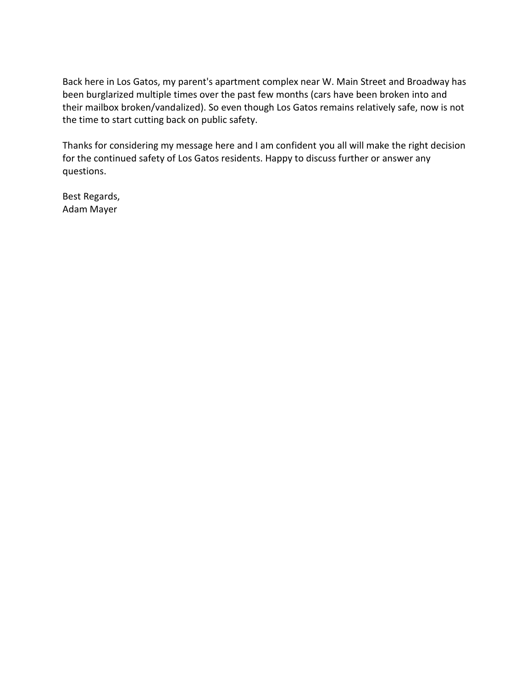Back here in Los Gatos, my parent's apartment complex near W. Main Street and Broadway has been burglarized multiple times over the past few months (cars have been broken into and their mailbox broken/vandalized). So even though Los Gatos remains relatively safe, now is not the time to start cutting back on public safety.

Thanks for considering my message here and I am confident you all will make the right decision for the continued safety of Los Gatos residents. Happy to discuss further or answer any questions.

Best Regards, Adam Mayer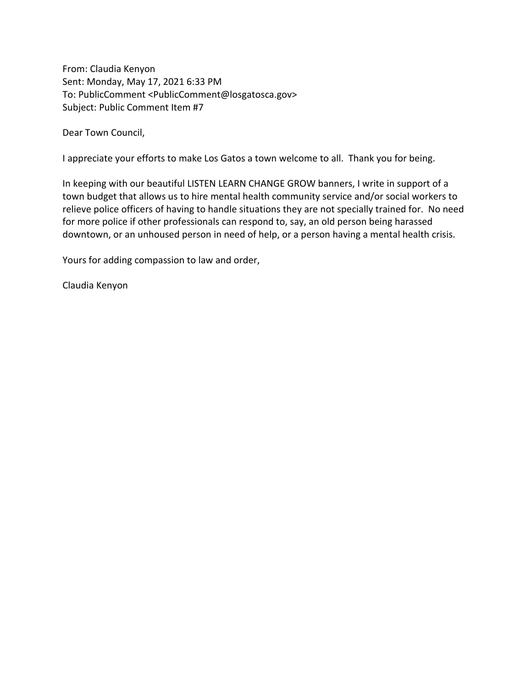From: Claudia Kenyon Sent: Monday, May 17, 2021 6:33 PM To: PublicComment <PublicComment@losgatosca.gov> Subject: Public Comment Item #7

Dear Town Council,

I appreciate your efforts to make Los Gatos a town welcome to all. Thank you for being.

In keeping with our beautiful LISTEN LEARN CHANGE GROW banners, I write in support of a town budget that allows us to hire mental health community service and/or social workers to relieve police officers of having to handle situations they are not specially trained for. No need for more police if other professionals can respond to, say, an old person being harassed downtown, or an unhoused person in need of help, or a person having a mental health crisis.

Yours for adding compassion to law and order,

Claudia Kenyon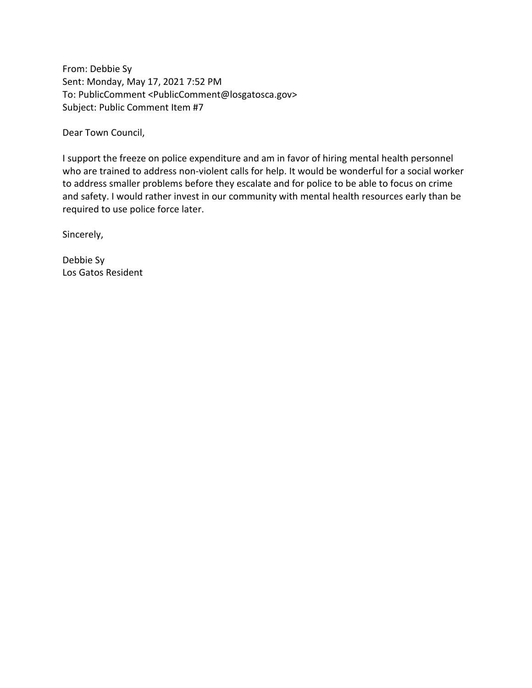From: Debbie Sy Sent: Monday, May 17, 2021 7:52 PM To: PublicComment <PublicComment@losgatosca.gov> Subject: Public Comment Item #7

Dear Town Council,

I support the freeze on police expenditure and am in favor of hiring mental health personnel who are trained to address non-violent calls for help. It would be wonderful for a social worker to address smaller problems before they escalate and for police to be able to focus on crime and safety. I would rather invest in our community with mental health resources early than be required to use police force later.

Sincerely,

Debbie Sy Los Gatos Resident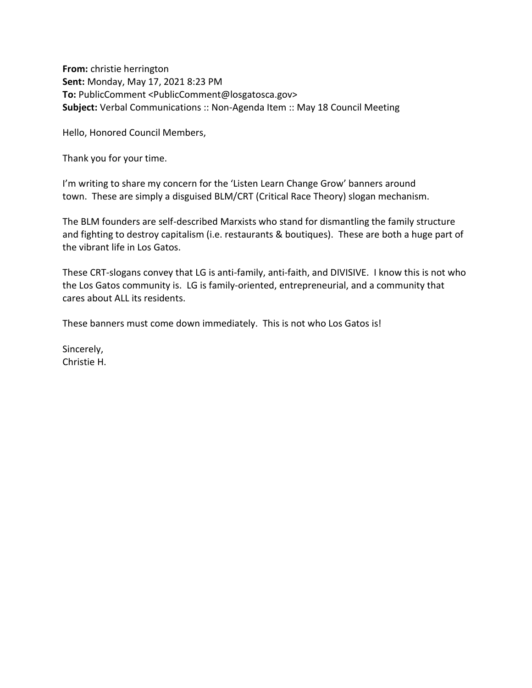**From:** christie herrington **Sent:** Monday, May 17, 2021 8:23 PM **To:** PublicComment <PublicComment@losgatosca.gov> **Subject:** Verbal Communications :: Non-Agenda Item :: May 18 Council Meeting

Hello, Honored Council Members,

Thank you for your time.

I'm writing to share my concern for the 'Listen Learn Change Grow' banners around town. These are simply a disguised BLM/CRT (Critical Race Theory) slogan mechanism.

The BLM founders are self-described Marxists who stand for dismantling the family structure and fighting to destroy capitalism (i.e. restaurants & boutiques). These are both a huge part of the vibrant life in Los Gatos.

These CRT-slogans convey that LG is anti-family, anti-faith, and DIVISIVE. I know this is not who the Los Gatos community is. LG is family-oriented, entrepreneurial, and a community that cares about ALL its residents.

These banners must come down immediately. This is not who Los Gatos is!

Sincerely, Christie H.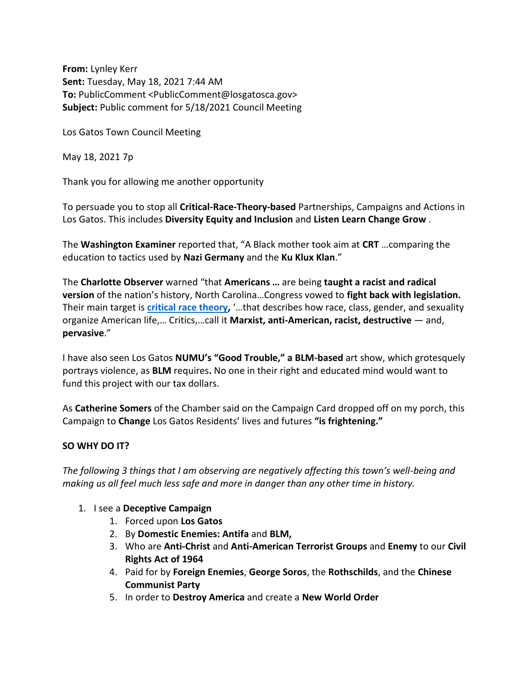**From:** Lynley Kerr **Sent:** Tuesday, May 18, 2021 7:44 AM **To:** PublicComment <PublicComment@losgatosca.gov> **Subject:** Public comment for 5/18/2021 Council Meeting

Los Gatos Town Council Meeting

May 18, 2021 7p

Thank you for allowing me another opportunity

To persuade you to stop all **Critical-Race-Theory-based** Partnerships, Campaigns and Actions in Los Gatos. This includes **Diversity Equity and Inclusion** and **Listen Learn Change Grow** .

The **Washington Examiner** reported that, "A Black mother took aim at **CRT** …comparing the education to tactics used by **Nazi Germany** and the **Ku Klux Klan**."

The **Charlotte Observer** warned "that **Americans …** are being **taught a racist and radical version** of the nation's history, North Carolina…Congress vowed to **fight back with legislation.** Their main target is **[critical race theory,](https://gcc02.safelinks.protection.outlook.com/?url=https%3A%2F%2Fwww.cnn.com%2F2020%2F10%2F01%2Fus%2Fcritical-race-theory-explainer-trnd%2Findex.html&data=04%7C01%7CPublicComment%40losgatosca.gov%7C5f9a6379ac7a47530ccb08d91a0b5dbb%7C6d38cb6747eb4d139e7c523cd7ccecd5%7C1%7C0%7C637569458390713150%7CUnknown%7CTWFpbGZsb3d8eyJWIjoiMC4wLjAwMDAiLCJQIjoiV2luMzIiLCJBTiI6Ik1haWwiLCJXVCI6Mn0%3D%7C3000&sdata=PFfjdpEBXnEwV0DJtv9iLskP0AYlswZLjQhWVxzD8EU%3D&reserved=0)** '…that describes how race, class, gender, and sexuality organize American life,… Critics,…call it **Marxist, anti-American, racist, destructive** — and, **pervasive**."

I have also seen Los Gatos **NUMU's "Good Trouble," a BLM-based** art show, which grotesquely portrays violence, as **BLM** requires**.** No one in their right and educated mind would want to fund this project with our tax dollars.

As **Catherine Somers** of the Chamber said on the Campaign Card dropped off on my porch, this Campaign to **Change** Los Gatos Residents' lives and futures **"is frightening."**

## **SO WHY DO IT?**

*The following 3 things that I am observing are negatively affecting this town's well-being and making us all feel much less safe and more in danger than any other time in history.*

- 1. I see a **Deceptive Campaign**
	- 1. Forced upon **Los Gatos**
	- 2. By **Domestic Enemies: Antifa** and **BLM,**
	- 3. Who are **Anti-Christ** and **Anti-American Terrorist Groups** and **Enemy** to our **Civil Rights Act of 1964**
	- 4. Paid for by **Foreign Enemies**, **George Soros**, the **Rothschilds**, and the **Chinese Communist Party**
	- 5. In order to **Destroy America** and create a **New World Order**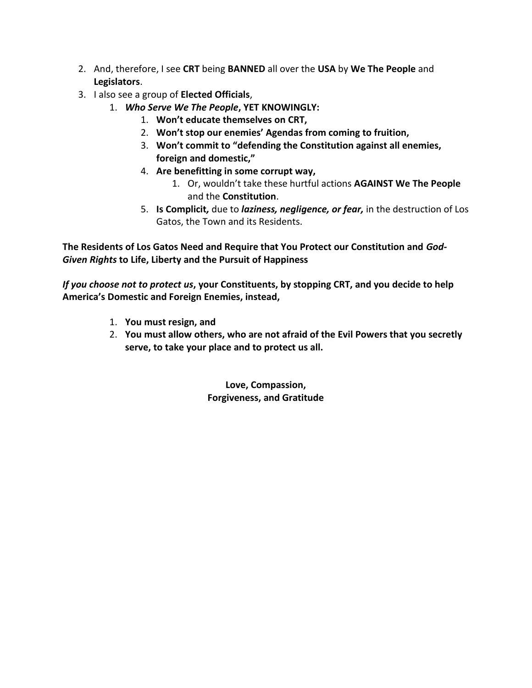- 2. And, therefore, I see **CRT** being **BANNED** all over the **USA** by **We The People** and **Legislators**.
- 3. I also see a group of **Elected Officials**,
	- 1. *Who Serve We The People***, YET KNOWINGLY:**
		- 1. **Won't educate themselves on CRT,**
		- 2. **Won't stop our enemies' Agendas from coming to fruition,**
		- 3. **Won't commit to "defending the Constitution against all enemies, foreign and domestic,"**
		- 4. **Are benefitting in some corrupt way,**
			- 1. Or, wouldn't take these hurtful actions **AGAINST We The People**  and the **Constitution**.
		- 5. **Is Complicit***,* due to *laziness, negligence, or fear,* in the destruction of Los Gatos, the Town and its Residents.

**The Residents of Los Gatos Need and Require that You Protect our Constitution and** *God-Given Rights* **to Life, Liberty and the Pursuit of Happiness**

*If you choose not to protect us***, your Constituents, by stopping CRT, and you decide to help America's Domestic and Foreign Enemies, instead,**

- 1. **You must resign, and**
- 2. **You must allow others, who are not afraid of the Evil Powers that you secretly serve, to take your place and to protect us all.**

**Love, Compassion, Forgiveness, and Gratitude**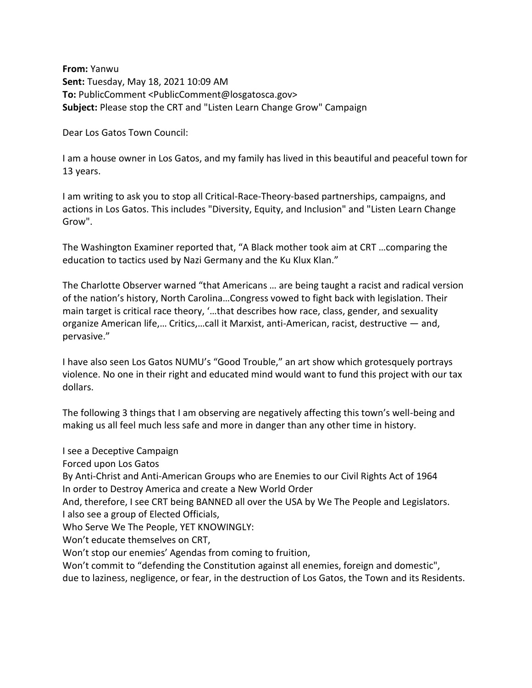**From:** Yanwu **Sent:** Tuesday, May 18, 2021 10:09 AM **To:** PublicComment <PublicComment@losgatosca.gov> **Subject:** Please stop the CRT and "Listen Learn Change Grow" Campaign

Dear Los Gatos Town Council:

I am a house owner in Los Gatos, and my family has lived in this beautiful and peaceful town for 13 years.

I am writing to ask you to stop all Critical-Race-Theory-based partnerships, campaigns, and actions in Los Gatos. This includes "Diversity, Equity, and Inclusion" and "Listen Learn Change Grow".

The Washington Examiner reported that, "A Black mother took aim at CRT …comparing the education to tactics used by Nazi Germany and the Ku Klux Klan."

The Charlotte Observer warned "that Americans … are being taught a racist and radical version of the nation's history, North Carolina…Congress vowed to fight back with legislation. Their main target is critical race theory, '…that describes how race, class, gender, and sexuality organize American life,… Critics,…call it Marxist, anti-American, racist, destructive — and, pervasive."

I have also seen Los Gatos NUMU's "Good Trouble," an art show which grotesquely portrays violence. No one in their right and educated mind would want to fund this project with our tax dollars.

The following 3 things that I am observing are negatively affecting this town's well-being and making us all feel much less safe and more in danger than any other time in history.

I see a Deceptive Campaign

Forced upon Los Gatos

By Anti-Christ and Anti-American Groups who are Enemies to our Civil Rights Act of 1964 In order to Destroy America and create a New World Order

And, therefore, I see CRT being BANNED all over the USA by We The People and Legislators. I also see a group of Elected Officials,

Who Serve We The People, YET KNOWINGLY:

Won't educate themselves on CRT,

Won't stop our enemies' Agendas from coming to fruition,

Won't commit to "defending the Constitution against all enemies, foreign and domestic", due to laziness, negligence, or fear, in the destruction of Los Gatos, the Town and its Residents.